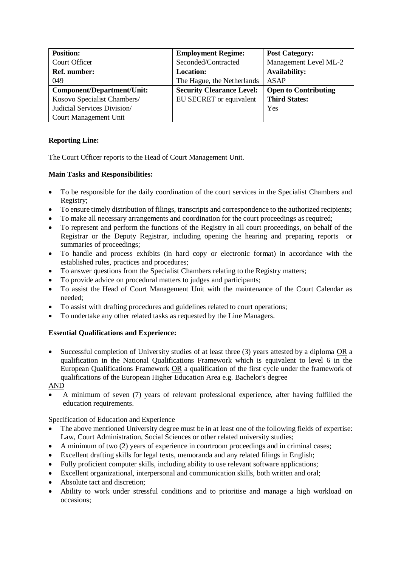| <b>Position:</b>            | <b>Employment Regime:</b>        | <b>Post Category:</b>       |
|-----------------------------|----------------------------------|-----------------------------|
| Court Officer               | Seconded/Contracted              | Management Level ML-2       |
| <b>Ref. number:</b>         | <b>Location:</b>                 | <b>Availability:</b>        |
| 049                         | The Hague, the Netherlands       | <b>ASAP</b>                 |
| Component/Department/Unit:  | <b>Security Clearance Level:</b> | <b>Open to Contributing</b> |
| Kosovo Specialist Chambers/ | EU SECRET or equivalent          | <b>Third States:</b>        |
| Judicial Services Division/ |                                  | Yes                         |
| Court Management Unit       |                                  |                             |

## **Reporting Line:**

The Court Officer reports to the Head of Court Management Unit.

## **Main Tasks and Responsibilities:**

- To be responsible for the daily coordination of the court services in the Specialist Chambers and Registry;
- To ensure timely distribution of filings, transcripts and correspondence to the authorized recipients;
- To make all necessary arrangements and coordination for the court proceedings as required;
- To represent and perform the functions of the Registry in all court proceedings, on behalf of the Registrar or the Deputy Registrar, including opening the hearing and preparing reports or summaries of proceedings;
- To handle and process exhibits (in hard copy or electronic format) in accordance with the established rules, practices and procedures;
- To answer questions from the Specialist Chambers relating to the Registry matters;
- To provide advice on procedural matters to judges and participants;
- To assist the Head of Court Management Unit with the maintenance of the Court Calendar as needed;
- To assist with drafting procedures and guidelines related to court operations;
- To undertake any other related tasks as requested by the Line Managers.

## **Essential Qualifications and Experience:**

• Successful completion of University studies of at least three (3) years attested by a diploma OR a qualification in the National Qualifications Framework which is equivalent to level 6 in the European Qualifications Framework OR a qualification of the first cycle under the framework of qualifications of the European Higher Education Area e.g. Bachelor's degree

AND

• A minimum of seven (7) years of relevant professional experience, after having fulfilled the education requirements.

Specification of Education and Experience

- The above mentioned University degree must be in at least one of the following fields of expertise: Law, Court Administration, Social Sciences or other related university studies;
- A minimum of two (2) years of experience in courtroom proceedings and in criminal cases;
- Excellent drafting skills for legal texts, memoranda and any related filings in English;
- Fully proficient computer skills, including ability to use relevant software applications;
- Excellent organizational, interpersonal and communication skills, both written and oral;
- Absolute tact and discretion:
- Ability to work under stressful conditions and to prioritise and manage a high workload on occasions;